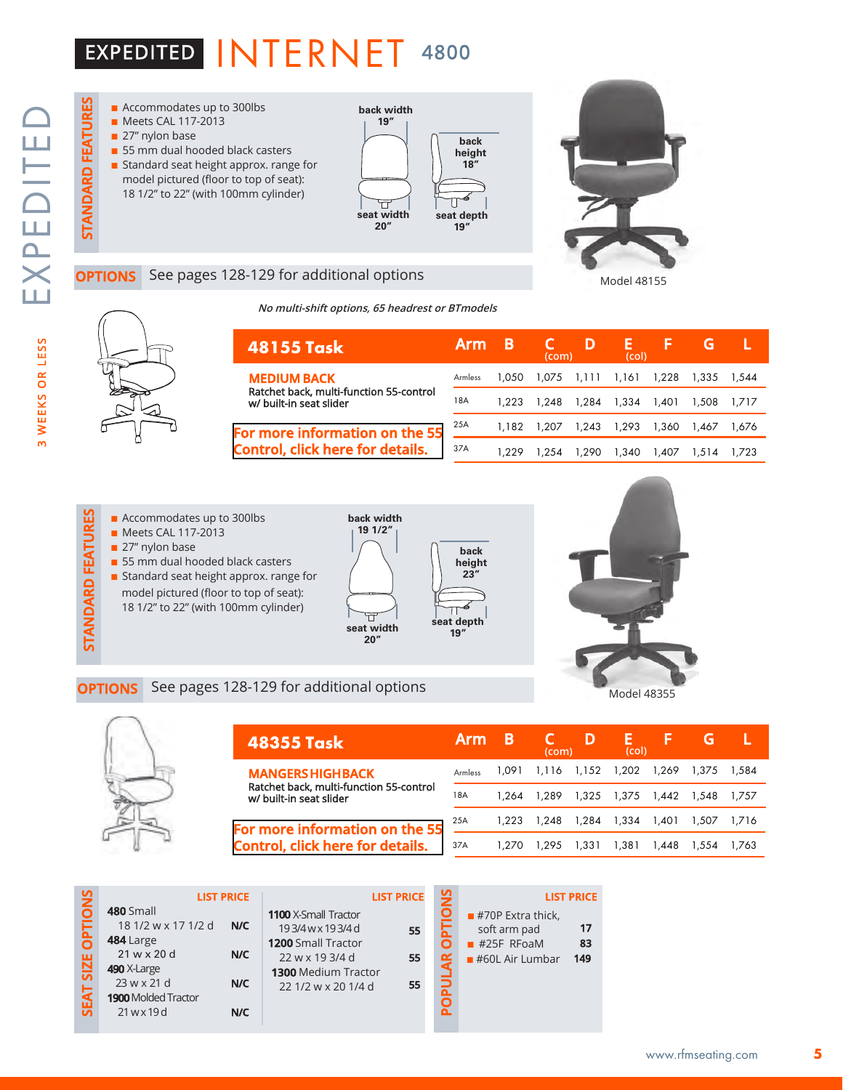# EXPEDITED INTERNET 4800

STANDARD FEATURES



### See pages 128-129 for additional options

**No multi-shift options, 65 headrest or BTmodels**





### Armless **48155 Task MEDIUM BACK**  Ratchet back, multi-function 55-control w/ built-in seat slider **Arm B C D E F G L (com) (col)** 18A

**back height 23"**

ፈ Π

### **[For more information on the 55](http://rfmseating.com/wp-content/uploads/2022/01/Control-55.pdf)  Control, click here for details.**

|     | Armless 1,050 1,075 1,111 1,161 1,228 1,335 1,544 |  |                                           |  |  |
|-----|---------------------------------------------------|--|-------------------------------------------|--|--|
| 18A |                                                   |  | 1,223 1,248 1,284 1,334 1,401 1,508 1,717 |  |  |
| 25A |                                                   |  | 1,182 1,207 1,243 1,293 1,360 1,467 1,676 |  |  |
| 37A |                                                   |  | 1,229 1,254 1,290 1,340 1,407 1,514 1,723 |  |  |
|     |                                                   |  |                                           |  |  |

- $\blacksquare$  Accommodates up to 300lbs
- **n** Meets CAL 117-2013
- $\blacksquare$  27" nylon base
- $\blacksquare$  55 mm dual hooded black casters
- **n** Standard seat height approx. range for
- model pictured (floor to top of seat): 18 1/2" to 22" (with 100mm cylinder)







| <b>48355 Task</b>                                                         | <b>Arm</b> |       | (com) |       | (col)       |             |       |       |
|---------------------------------------------------------------------------|------------|-------|-------|-------|-------------|-------------|-------|-------|
| <b>MANGERS HIGH BACK</b>                                                  | Armless    | 1.091 | 1.116 | 1,152 | 1.202       | 1.269       | 1.375 | 1.584 |
| Ratchet back, multi-function 55-control<br>w/ built-in seat slider        | 18A        | 1.264 | 1.289 |       | 1,325 1,375 | 1,442 1,548 |       | 1.757 |
| For more information on the 55<br><b>Control, click here for details.</b> | 25A        | 1.223 | 1.248 | 1,284 | 1,334       | 1.401       | 1.507 | 1.716 |
|                                                                           | 37A        | 1.270 | 1.295 | 1.331 | 1.381       | 1.448       | 1.554 | 1.763 |

| <b>SNO</b>    | <b>LIST PRICE</b>                                                                                                                                                           |                                                                                                                                                   | <b>LIST PRICE</b> | $\frac{5}{2}$ | <b>LIST PRICE</b>                                                                     |                 |
|---------------|-----------------------------------------------------------------------------------------------------------------------------------------------------------------------------|---------------------------------------------------------------------------------------------------------------------------------------------------|-------------------|---------------|---------------------------------------------------------------------------------------|-----------------|
| SEAT SIZE OPT | 480 Small<br>18 1/2 w x 17 1/2 d<br>N/C<br>484 Large<br>$21 w \times 20 d$<br>N/C<br>490 X-Large<br>23 w x 21 d<br>N/C<br><b>1900 Molded Tractor</b><br>$21$ w x 19d<br>N/C | <b>1100</b> X-Small Tractor<br>193/4wx193/4d<br><b>1200 Small Tractor</b><br>22 w x 19 3/4 d<br><b>1300 Medium Tractor</b><br>22 1/2 w x 20 1/4 d | 55<br>55<br>55    | ã.            | $\blacksquare$ #70P Extra thick,<br>soft arm pad<br>$#25F$ RFoaM<br>$#60L$ Air Lumbar | 17<br>83<br>149 |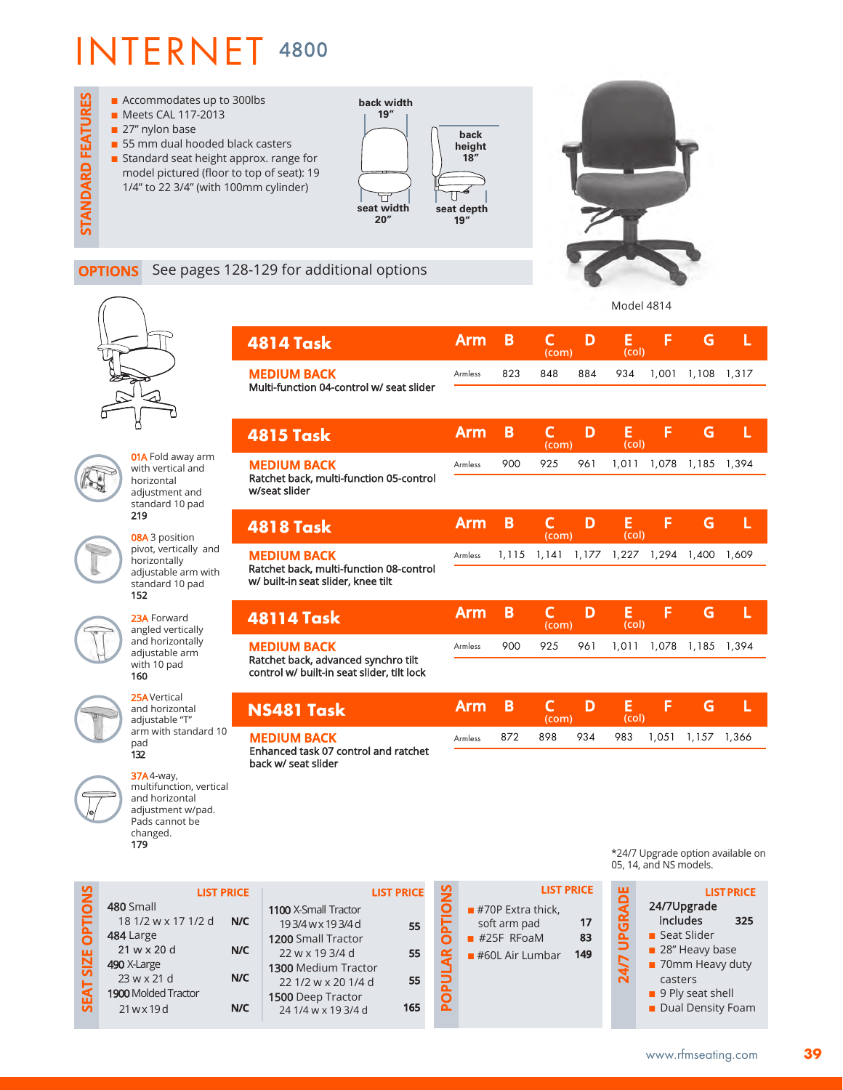

## **OPTIONS** See pages 128-129 for additional options



**01A** Fold away arm with vertical and horizontal adjustment and standard 10 pad 219

08A 3 position pivot, vertically and horizontally adjustable arm with standard 10 pad 152

23A Forward angled vertically and horizontally adjustable arm with 10 pad 160

25AVertical and horizontal adjustable "T" arm with standard 10 pad 132

37A4-way, multifunction, vertical and horizontal adjustment w/pad. Pads cannot be changed.

179

| 4814 Task                                                      | <b>Arm</b>     | B     | C<br>(com)            | D     | Е<br>(col) | F     | G     | L     |
|----------------------------------------------------------------|----------------|-------|-----------------------|-------|------------|-------|-------|-------|
| <b>MEDIUM BACK</b><br>Multi-function 04-control w/ seat slider | <b>Armless</b> | 823   | 848                   | 884   | 934        | 1,001 | 1,108 | 1,317 |
|                                                                |                |       |                       |       |            |       |       |       |
| 4815 Task                                                      | <b>Arm</b>     | B     | C<br>(com)            | D     | E<br>(col) | F     | G     | L     |
| <b>MEDIUM BACK</b><br>Ratchet back, multi-function 05-control  | Armless        | 900   | 925                   | 961   | 1,011      | 1.078 | 1,185 | 1,394 |
| w/seat slider                                                  |                |       |                       |       |            |       |       |       |
| 4818 Task                                                      | <b>Arm</b>     | В     | C<br>(com)            | D     | E<br>(col) | F     | G     | L     |
| <b>MEDIUM BACK</b><br>Ratchet back, multi-function 08-control  | Armless        | 1,115 | 1,141                 | 1,177 | 1,227      | 1,294 | 1,400 | 1,609 |
| w/ built-in seat slider, knee tilt                             |                |       |                       |       |            |       |       |       |
| 48114 Task                                                     | <b>Arm</b>     | B     | $\mathsf{C}$<br>(com) | D     | E<br>(col) | F     | G     | L     |
| <b>MEDIUM BACK</b><br>Ratchet back, advanced synchro tilt      | <b>Armless</b> | 900   | 925                   | 961   | 1,011      | 1,078 | 1,185 | 1,394 |
| control w/ built-in seat slider, tilt lock                     |                |       |                       |       |            |       |       |       |
| NS481 Task                                                     | <b>Arm</b>     | B     | C<br>(com)            | D     | E<br>(col) | F     | G     | L     |
| <b>MEDIUM BACK</b><br>Enhanced task 07 control and ratchet     | Armless        | 872   | 898                   | 934   | 983        | 1,051 | 1,157 | 1,366 |
| back w/ seat slider                                            |                |       |                       |       |            |       |       |       |
|                                                                |                |       |                       |       |            |       |       |       |

|                |                            | <b>LIST PRICE</b> |
|----------------|----------------------------|-------------------|
| <b>OPTIONS</b> | 480 Small                  |                   |
|                | 18 1/2 w x 17 1/2 d        | N/C               |
|                | 484 Large                  |                   |
|                | $21 w \times 20 d$         | N/C               |
| <b>SIZE</b>    | 490 X-Large                |                   |
|                | 23 w x 21 d                | N/C               |
| <b>SEAT</b>    | <b>1900</b> Molded Tractor |                   |
|                | 21 w x 19 d                | N/C               |
|                |                            |                   |

|                             | <b>LIST PRICE</b> |
|-----------------------------|-------------------|
| <b>1100 X-Small Tractor</b> |                   |
| 193/4wx193/4d               | 55                |
| 1200 Small Tractor          |                   |
| 22 w x 19 3/4 d             | 55                |
| <b>1300</b> Medium Tractor  |                   |
| 22 1/2 w x 20 1/4 d         | 55                |
| 1500 Deep Tractor           |                   |
| 24 1/4 w x 19 3/4 d         | 165               |
|                             |                   |

**ICE** 

|                     |                                                                          |                                      |                        | UJ, 14, and NJ MUUCIS.                                                                                                                  |
|---------------------|--------------------------------------------------------------------------|--------------------------------------|------------------------|-----------------------------------------------------------------------------------------------------------------------------------------|
| <b>OPTIONS</b><br>ă | $#70P$ Extra thick,<br>soft arm pad<br>$#25F$ RFoaM<br>$#60L$ Air Lumbar | <b>LIST PRICE</b><br>17<br>83<br>149 | <b>UPGRADE</b><br>24/7 | LIS<br>24/7Upgrade<br>includes<br>■ Seat Slider<br>$\blacksquare$ 28" Heavy b<br>■ 70mm Heav<br>casters<br>$\blacksquare$ 9 Ply seat sh |
|                     |                                                                          |                                      |                        | <b>Dual Densit</b>                                                                                                                      |

\*24/7 Upgrade option available on 05, 14, and NS models.

**LIST PRICE**

Model 4814



includes **325** Seat Slider 28" Heavy base 70mm Heavy duty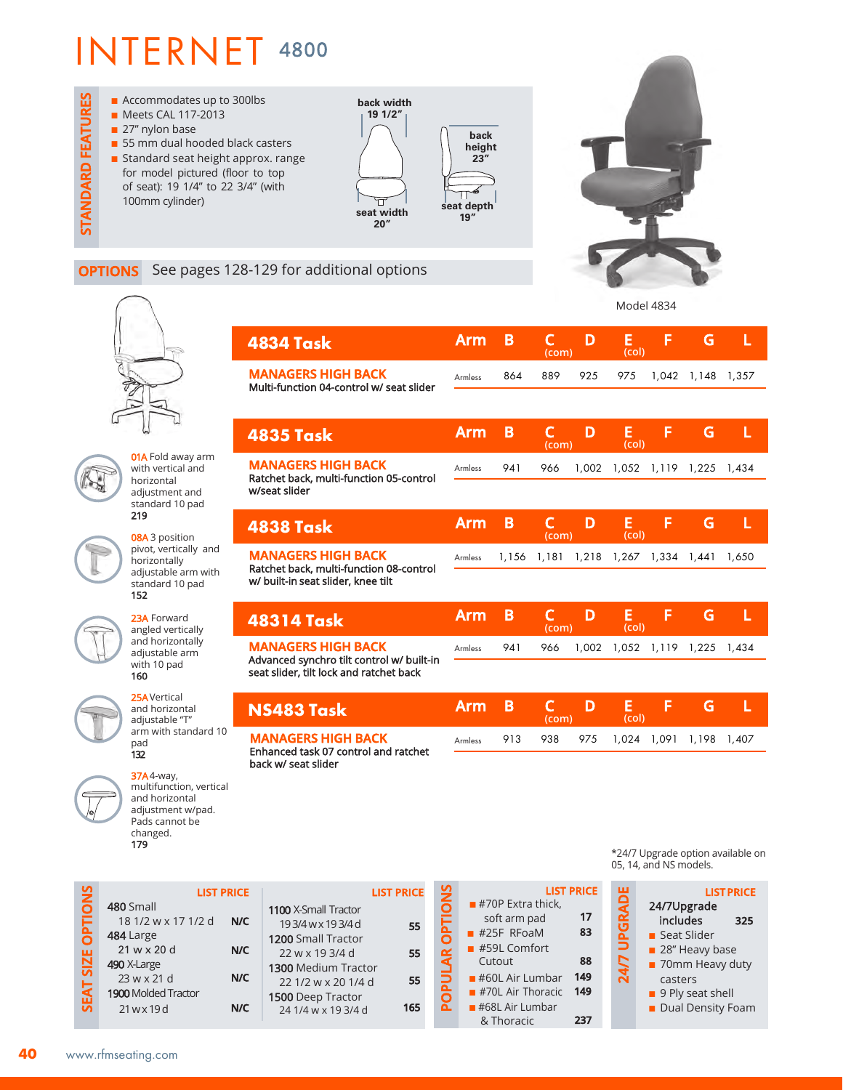**STANDARD FEATURES** ■ Accommodates up to 300lbs **back width** ■ Meets CAL 117-2013 **19 1/2"** 27" nylon base **back n** 55 mm dual hooded black casters **height n** Standard seat height approx. range **23"** for model pictured (floor to top of seat): 19 1/4" to 22 3/4" (with 100mm cylinder) ╦ **seat depth 19" seat width 20"**



**OPTIONS** See pages 128-129 for additional options



STANDARD FEATURES

**01A** Fold away arm with vertical and horizontal adjustment and standard 10 pad 219

08A 3 position pivot, vertically and horizontally adjustable arm with standard 10 pad 152



25AVertical and horizontal adjustable "T" arm with standard 10 pad 132

37A4-way, multifunction, vertical

| 4834 Task                                                                                | Arm            | B     | C<br>(com) | D     | E<br>(col) | F     | G     | L     |
|------------------------------------------------------------------------------------------|----------------|-------|------------|-------|------------|-------|-------|-------|
| <b>MANAGERS HIGH BACK</b><br>Multi-function 04-control w/ seat slider                    | Armless        | 864   | 889        | 925   | 975        | 1,042 | 1,148 | 1,357 |
|                                                                                          |                |       |            |       |            |       |       |       |
| 4835 Task                                                                                | <b>Arm</b>     | B     | C<br>(com) | D     | Е<br>(col) | F     | G     | L     |
| <b>MANAGERS HIGH BACK</b><br>Ratchet back, multi-function 05-control                     | <b>Armless</b> | 941   | 966        | 1,002 | 1,052      | 1,119 | 1,225 | 1,434 |
| w/seat slider                                                                            |                |       |            |       |            |       |       |       |
| 4838 Task                                                                                | <b>Arm</b>     | B     | C<br>(com) | D     | E<br>(col) | F     | G     | L     |
| <b>MANAGERS HIGH BACK</b><br>Ratchet back, multi-function 08-control                     | Armless        | 1,156 | 1,181      | 1,218 | 1,267      | 1,334 | 1,441 | 1,650 |
| w/ built-in seat slider, knee tilt                                                       |                |       |            |       |            |       |       |       |
| 48314 Task                                                                               | <b>Arm</b>     | B     | C<br>(com) | D     | E<br>(col) | F     | G     | L     |
| <b>MANAGERS HIGH BACK</b><br>Advanced synchro tilt control w/ built-in                   | Armless        | 941   | 966        | 1,002 | 1,052      | 1,119 | 1,225 | 1,434 |
| seat slider, tilt lock and ratchet back                                                  |                |       |            |       |            |       |       |       |
| NS483 Task                                                                               | <b>Arm</b>     | B     | C<br>(com) | D     | Е<br>(col) | F     | G     | L     |
| <b>MANAGERS HIGH BACK</b><br>Enhanced task 07 control and ratchet<br>hack w/ seat slider | Armless        | 913   | 938        | 975   | 1,024      | 1,091 | 1,198 | 1,407 |

**LIST PRICE N/C** 480 Small 18 1/2 w x 17 1/2 d and horizontal adjustment w/pad. Pads cannot be changed. 179

**N/C**

**N/C**

**N/C**

|                             | <b>LIST PRICE</b> |
|-----------------------------|-------------------|
| <b>1100 X-Small Tractor</b> |                   |
| 193/4wx193/4d               | 55                |
| 1200 Small Tractor          |                   |
| 22 w x 19 3/4 d             | 55                |
| 1300 Medium Tractor         |                   |
| 22 1/2 w x 20 1/4 d         | 55                |
| 1500 Deep Tractor           |                   |
| 24 1/4 w x 19 3/4 d         |                   |

|                           |                                  | <b>LIST PRICE</b> |
|---------------------------|----------------------------------|-------------------|
| ć                         | $\blacksquare$ #70P Extra thick, |                   |
| È                         | soft arm pad                     | 17                |
|                           | $#25F$ RFoaM                     | 83                |
|                           | $#59L$ Comfort                   |                   |
| $\overline{\mathbf{A}}$ R | Cutout                           | 88                |
|                           | $\blacksquare$ #60L Air Lumbar   | 149               |
| c                         | $#70L$ Air Thoracic              | 149               |
|                           | $#68L$ Air Lumbar                |                   |
|                           | & Thoracic                       |                   |

\*24/7 Upgrade option available on 05, 14, and NS models.

| 言語に | <b>LIST PRICE</b><br>24/7Upgrade |  |
|-----|----------------------------------|--|
|     | includes<br>325                  |  |
| Ê   | Seat Slider                      |  |
|     | 28" Heavy base                   |  |
| 4   | 70mm Heavy duty                  |  |
|     | casters                          |  |
|     | 9 Ply seat shell                 |  |
|     | Dual Density Foam                |  |

**SEAT SIZE OPTIONS**

SEAT SIZE OPTION

484 Large 21 w x 20 d 490 X-Large 23 w x 21 d 1900 Molded Tractor 21 w x 19 d

www.rfmseating.com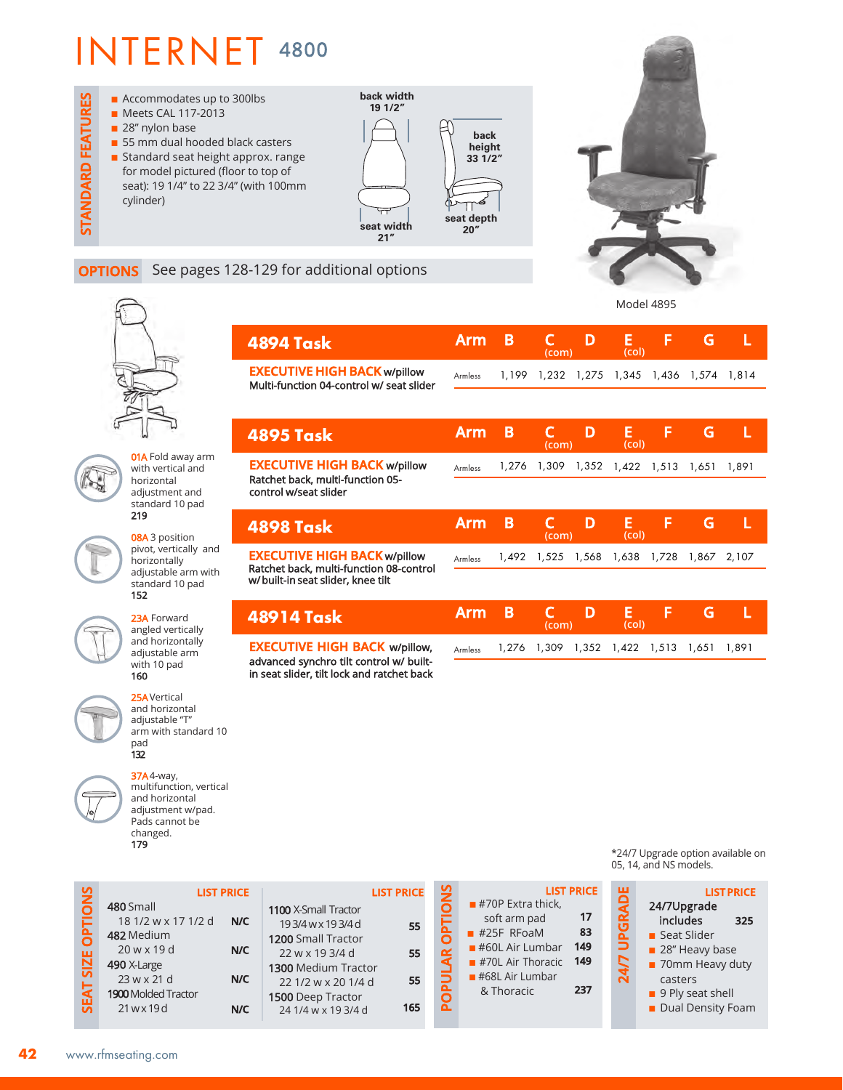**OPTIONS** See pages 128-129 for additional options

**back width** ■ Accommodates up to 300lbs **STANDARD FEATURES** STANDARD FEATURES **19 1/2"** ■ Meets CAL 117-2013 28" nylon base **back n** 55 mm dual hooded black casters **height n** Standard seat height approx. range **33 1/2"** for model pictured (floor to top of seat): 19 1/4" to 22 3/4" (with 100mm cylinder) Н **seat depth 20" seat width 21"**



01A Fold away arm with vertical and horizontal adjustment and standard 10 pad 219 08A 3 position

pivot, vertically and horizontally adjustable arm with standard 10 pad 152

23A Forward angled vertically and horizontally adjustable arm with 10 pad 160

25AVertical and horizontal adjustable "T" arm with standard 10 pad 132

37A4-way, multifunction, vertical and horizontal adjustment w/pad. Pads cannot be changed. 179

| <b>4894 Task</b>                                                                | Arm            | B     | (com)      | D     | E<br>(col)                          | F     | G     |       |
|---------------------------------------------------------------------------------|----------------|-------|------------|-------|-------------------------------------|-------|-------|-------|
| <b>EXECUTIVE HIGH BACK w/pillow</b><br>Multi-function 04-control w/ seat slider | <b>Armless</b> | 1.199 |            |       | 1,232 1,275 1,345 1,436 1,574 1,814 |       |       |       |
|                                                                                 |                |       |            |       |                                     |       |       |       |
| <b>4895 Task</b>                                                                | Arm            | B     | (com)      | D     | Е<br>(col)                          | F     | G     | L     |
| <b>EXECUTIVE HIGH BACK w/pillow</b>                                             | Armless        | 1,276 | 1,309      | 1,352 | 1,422                               | 1,513 | 1,651 | 1,891 |
| Ratchet back, multi-function 05-<br>control w/seat slider                       |                |       |            |       |                                     |       |       |       |
| <b>4898 Task</b>                                                                | Arm            | B     | C<br>(com) | D     | E<br>(col)                          | F     | G     | L     |
| <b>EXECUTIVE HIGH BACK w/pillow</b><br>Ratchet back, multi-function 08-control  | <b>Armless</b> | 1,492 | 1,525      | 1,568 | 1,638                               | 1,728 | 1,867 | 2,107 |
| w/built-in seat slider, knee tilt                                               |                |       |            |       |                                     |       |       |       |
| 48914 Task                                                                      | Arm            | B     | (com)      | D     | Е<br>(col)                          | F     | G     | L     |

**EXECUTIVE HIGH BACK** w/pillow, advanced synchro tilt control w/ builtin seat slider, tilt lock and ratchet back

|                                                   | (com) | (col) |  |  |
|---------------------------------------------------|-------|-------|--|--|
| Armless 1,276 1,309 1,352 1,422 1,513 1,651 1,891 |       |       |  |  |
|                                                   |       |       |  |  |

| SNO<br><b>PFI</b><br><b>SIZE</b> | 480 Small<br>18 1/2 w x 17 1/2 d<br>482 Medium<br>$20$ w x 19 d   | <b>LIST PRICE</b><br>N/C<br>N/C | 1100 X-Small Tractor<br>193/4wx193/4d<br>1200 Small Tractor<br>22 w x 19 3/4 d         | <b>LIST PRICE</b><br>55<br>55 | $\frac{5}{2}$ | $#70P$ Extra thick,<br>soft arm pad<br>$#25F$ RFoaM<br>$#60L$ Air Lumbar | <b>LIST PRICE</b><br>17<br>83<br>149<br>149 |
|----------------------------------|-------------------------------------------------------------------|---------------------------------|----------------------------------------------------------------------------------------|-------------------------------|---------------|--------------------------------------------------------------------------|---------------------------------------------|
| <b>SEAT</b>                      | 490 X-Large<br>23 w x 21 d<br>1900 Molded Tractor<br>$21$ w x 19d | N/C<br>N/C                      | 1300 Medium Tractor<br>22 1/2 w x 20 1/4 d<br>1500 Deep Tractor<br>24 1/4 w x 19 3/4 d | 55<br>165                     | ñ             | $#70L$ Air Thoracic<br>$#68L$ Air Lumbar<br>& Thoracic                   | 237                                         |

\*24/7 Upgrade option available on 05, 14, and NS models.

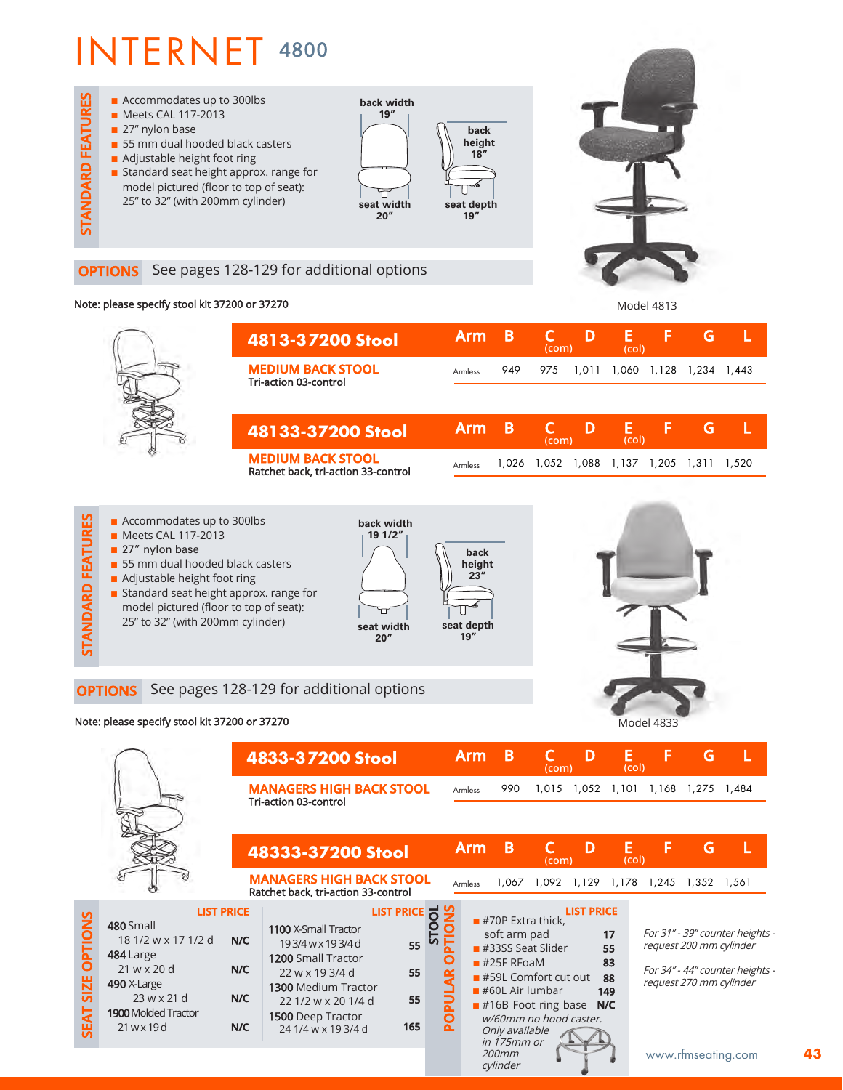

## **OPTIONS** See pages 128-129 for additional options

## Note: please specify stool kit 37200 or 37270 Model 4813



 $\blacksquare$  Accommodates up to 300lbs **STANDARD FEATURES back width n** Meets CAL 117-2013 **19 1/2" STANDARD FEATUR**  $\blacksquare$  27" nylon base **back**  $\blacksquare$  55 mm dual hooded black casters **height**  $\blacksquare$  Adjustable height foot ring **23" n** Standard seat height approx. range for model pictured (floor to top of seat): Π 25" to 32" (with 200mm cylinder) **seat depth seat width 19" 20"**

### **OPTIONS** See pages 128-129 for additional options

| Note: please specify stool kit 37200 or 37270 |                                                                                                                                           |                   |                                                                                               |              |                         |            |                                                     |                                                                                   |                   | <b>Model 4833</b>    |                                                                                                                          |                   |   |  |
|-----------------------------------------------|-------------------------------------------------------------------------------------------------------------------------------------------|-------------------|-----------------------------------------------------------------------------------------------|--------------|-------------------------|------------|-----------------------------------------------------|-----------------------------------------------------------------------------------|-------------------|----------------------|--------------------------------------------------------------------------------------------------------------------------|-------------------|---|--|
|                                               |                                                                                                                                           | 4833-37200 Stool  |                                                                                               |              |                         | <b>Arm</b> | B                                                   | (com)                                                                             | D                 | Е<br>(col)           | F                                                                                                                        | G                 | L |  |
|                                               |                                                                                                                                           |                   | <b>MANAGERS HIGH BACK STOOL</b><br><b>Tri-action 03-control</b>                               |              |                         | Armless    | 990                                                 | 1,015                                                                             | 1,052 1,101       |                      |                                                                                                                          | 1,168 1,275 1,484 |   |  |
|                                               |                                                                                                                                           |                   | 48333-37200 Stool<br><b>MANAGERS HIGH BACK STOOL</b>                                          |              |                         | <b>Arm</b> | B                                                   | (com)                                                                             | D                 | E<br>(col)           | F                                                                                                                        | G                 |   |  |
|                                               |                                                                                                                                           | <b>LIST PRICE</b> | Ratchet back, tri-action 33-control                                                           | LIST PRICE O |                         | Armless    |                                                     | 1,067 1,092 1,129 1,178 1,245 1,352 1,561                                         | <b>LIST PRICE</b> |                      |                                                                                                                          |                   |   |  |
| <b>OPTIONS</b>                                | 480 Small<br>18 1/2 w x 17 1/2 d<br>484 Large<br>$21$ w x 20 d<br>490 X-Large<br>23 w x 21 d<br><b>1900</b> Molded Tractor<br>21 w x 19 d | N/C<br>N/C        | 1100 X-Small Tractor<br>193/4wx193/4d<br><b>1200 Small Tractor</b><br>22 w x 19 3/4 d         | 55<br>55     |                         |            | $#70P$ Extra thick.<br>soft arm pad<br>$#25F$ RFoaM | $#33SS$ Seat Slider<br>$\blacksquare$ #59L Comfort cut out                        |                   | 17<br>55<br>83<br>88 | For 31" - 39" counter heights -<br>request 200 mm cylinder<br>For 34" - 44" counter heights -<br>request 270 mm cylinder |                   |   |  |
| SIZE<br>능<br>띥                                |                                                                                                                                           | N/C<br>N/C        | 1300 Medium Tractor<br>22 1/2 w x 20 1/4 d<br><b>1500</b> Deep Tractor<br>24 1/4 w x 19 3/4 d | 55<br>165    | $\overline{\mathbf{a}}$ |            | Only available                                      | $\blacksquare$ #60L Air lumbar<br>$#16B$ Foot ring base<br>w/60mm no hood caster. |                   | 149<br>N/C           |                                                                                                                          |                   |   |  |

Only available in 175mm or 200mm cylinder